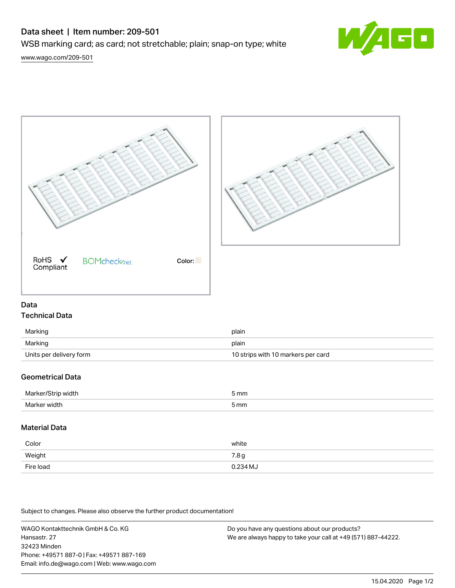# Data sheet | Item number: 209-501

WSB marking card; as card; not stretchable; plain; snap-on type; white



[www.wago.com/209-501](http://www.wago.com/209-501)



### Data Technical Data

| Marking                 | plain                              |
|-------------------------|------------------------------------|
| Marking                 | plain                              |
| Units per delivery form | 10 strips with 10 markers per card |

## Geometrical Data

| Mar<br>width ر<br>י | mm   |
|---------------------|------|
| Mar<br>width        | 5 mm |

## Material Data

| Color     | white            |
|-----------|------------------|
| Weight    | 7.8 <sub>g</sub> |
| Fire load | 0.234 MJ         |

Subject to changes. Please also observe the further product documentation!

WAGO Kontakttechnik GmbH & Co. KG Hansastr. 27 32423 Minden Phone: +49571 887-0 | Fax: +49571 887-169 Email: info.de@wago.com | Web: www.wago.com

Do you have any questions about our products? We are always happy to take your call at +49 (571) 887-44222.